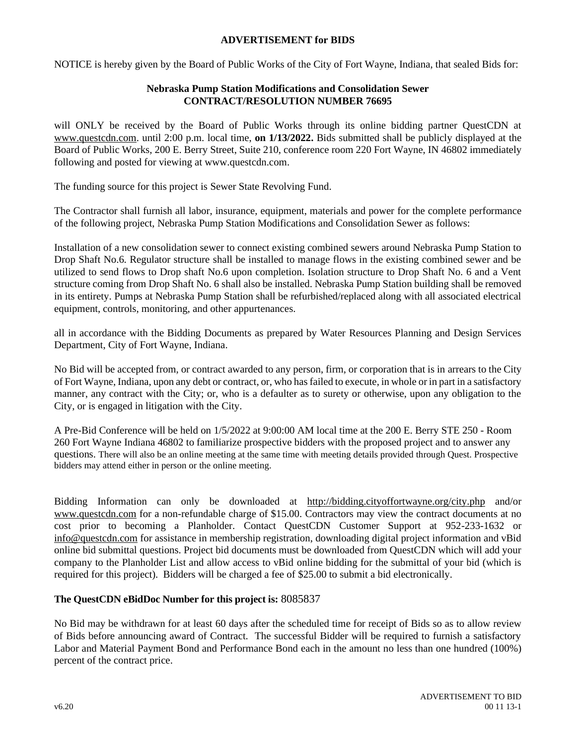## **ADVERTISEMENT for BIDS**

NOTICE is hereby given by the Board of Public Works of the City of Fort Wayne, Indiana, that sealed Bids for:

## **Nebraska Pump Station Modifications and Consolidation Sewer CONTRACT/RESOLUTION NUMBER 76695**

will ONLY be received by the Board of Public Works through its online bidding partner QuestCDN at [www.questcdn.com.](http://www.questcdn.com/) until 2:00 p.m. local time, **on 1/13/2022.** Bids submitted shall be publicly displayed at the Board of Public Works, 200 E. Berry Street, Suite 210, conference room 220 Fort Wayne, IN 46802 immediately following and posted for viewing at www.questcdn.com.

The funding source for this project is Sewer State Revolving Fund.

The Contractor shall furnish all labor, insurance, equipment, materials and power for the complete performance of the following project, Nebraska Pump Station Modifications and Consolidation Sewer as follows:

Installation of a new consolidation sewer to connect existing combined sewers around Nebraska Pump Station to Drop Shaft No.6. Regulator structure shall be installed to manage flows in the existing combined sewer and be utilized to send flows to Drop shaft No.6 upon completion. Isolation structure to Drop Shaft No. 6 and a Vent structure coming from Drop Shaft No. 6 shall also be installed. Nebraska Pump Station building shall be removed in its entirety. Pumps at Nebraska Pump Station shall be refurbished/replaced along with all associated electrical equipment, controls, monitoring, and other appurtenances.

all in accordance with the Bidding Documents as prepared by Water Resources Planning and Design Services Department, City of Fort Wayne, Indiana.

No Bid will be accepted from, or contract awarded to any person, firm, or corporation that is in arrears to the City of Fort Wayne, Indiana, upon any debt or contract, or, who has failed to execute, in whole or in part in a satisfactory manner, any contract with the City; or, who is a defaulter as to surety or otherwise, upon any obligation to the City, or is engaged in litigation with the City.

A Pre-Bid Conference will be held on 1/5/2022 at 9:00:00 AM local time at the 200 E. Berry STE 250 - Room 260 Fort Wayne Indiana 46802 to familiarize prospective bidders with the proposed project and to answer any questions. There will also be an online meeting at the same time with meeting details provided through Quest. Prospective bidders may attend either in person or the online meeting.

Bidding Information can only be downloaded at <http://bidding.cityoffortwayne.org/city.php> and/or [www.questcdn.com](http://www.questcdn.com/) for a non-refundable charge of \$15.00. Contractors may view the contract documents at no cost prior to becoming a Planholder. Contact QuestCDN Customer Support at 952-233-1632 or [info@questcdn.com](mailto:info@questcdn.com) for assistance in membership registration, downloading digital project information and vBid online bid submittal questions. Project bid documents must be downloaded from QuestCDN which will add your company to the Planholder List and allow access to vBid online bidding for the submittal of your bid (which is required for this project). Bidders will be charged a fee of \$25.00 to submit a bid electronically.

## **The QuestCDN eBidDoc Number for this project is:** 8085837

No Bid may be withdrawn for at least 60 days after the scheduled time for receipt of Bids so as to allow review of Bids before announcing award of Contract. The successful Bidder will be required to furnish a satisfactory Labor and Material Payment Bond and Performance Bond each in the amount no less than one hundred (100%) percent of the contract price.